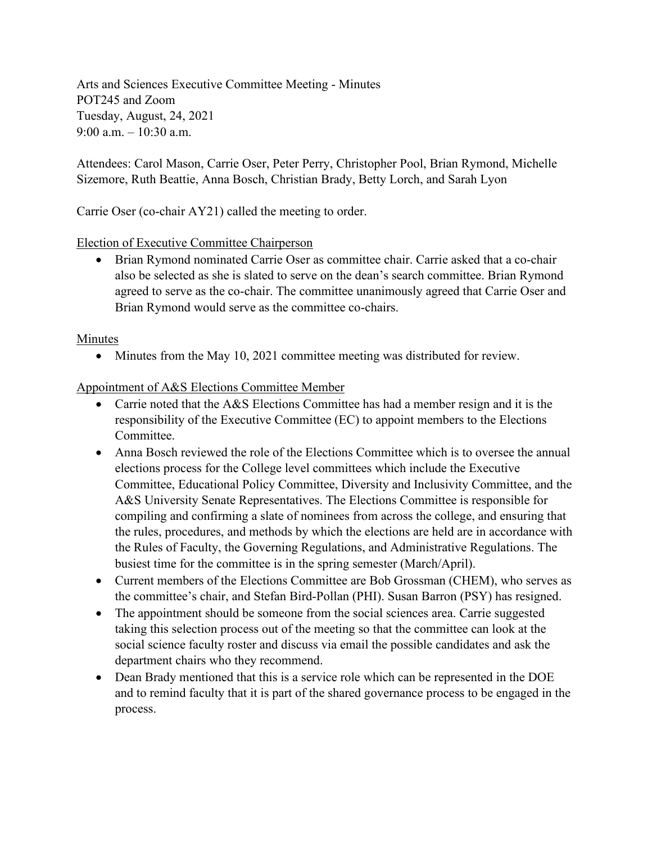Arts and Sciences Executive Committee Meeting - Minutes POT245 and Zoom Tuesday, August, 24, 2021 9:00 a.m. – 10:30 a.m.

Attendees: Carol Mason, Carrie Oser, Peter Perry, Christopher Pool, Brian Rymond, Michelle Sizemore, Ruth Beattie, Anna Bosch, Christian Brady, Betty Lorch, and Sarah Lyon

Carrie Oser (co-chair AY21) called the meeting to order.

Election of Executive Committee Chairperson

• Brian Rymond nominated Carrie Oser as committee chair. Carrie asked that a co-chair also be selected as she is slated to serve on the dean's search committee. Brian Rymond agreed to serve as the co-chair. The committee unanimously agreed that Carrie Oser and Brian Rymond would serve as the committee co-chairs.

#### Minutes

• Minutes from the May 10, 2021 committee meeting was distributed for review.

#### Appointment of A&S Elections Committee Member

- Carrie noted that the A&S Elections Committee has had a member resign and it is the responsibility of the Executive Committee (EC) to appoint members to the Elections Committee.
- Anna Bosch reviewed the role of the Elections Committee which is to oversee the annual elections process for the College level committees which include the Executive Committee, Educational Policy Committee, Diversity and Inclusivity Committee, and the A&S University Senate Representatives. The Elections Committee is responsible for compiling and confirming a slate of nominees from across the college, and ensuring that the rules, procedures, and methods by which the elections are held are in accordance with the Rules of Faculty, the Governing Regulations, and Administrative Regulations. The busiest time for the committee is in the spring semester (March/April).
- Current members of the Elections Committee are Bob Grossman (CHEM), who serves as the committee's chair, and Stefan Bird-Pollan (PHI). Susan Barron (PSY) has resigned.
- The appointment should be someone from the social sciences area. Carrie suggested taking this selection process out of the meeting so that the committee can look at the social science faculty roster and discuss via email the possible candidates and ask the department chairs who they recommend.
- Dean Brady mentioned that this is a service role which can be represented in the DOE and to remind faculty that it is part of the shared governance process to be engaged in the process.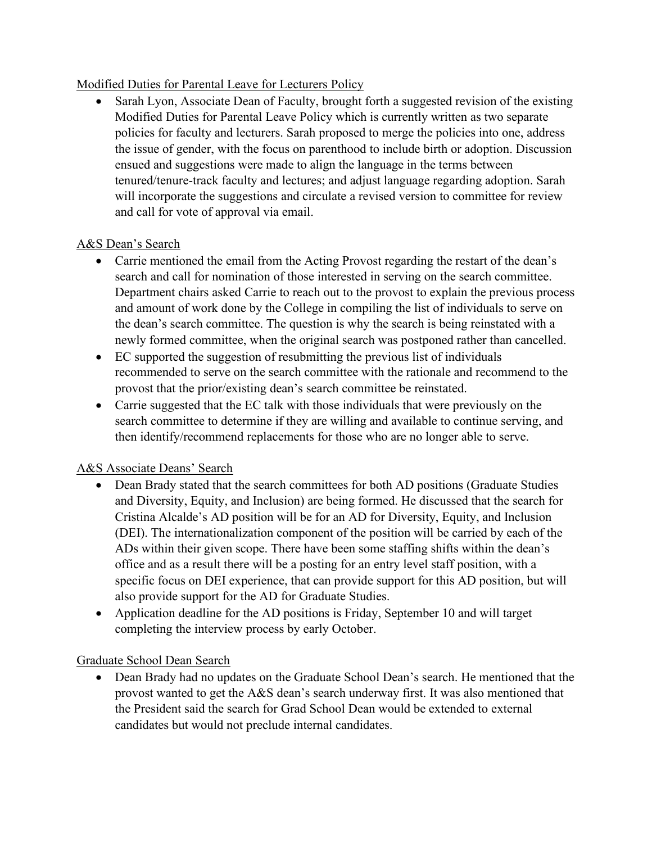## Modified Duties for Parental Leave for Lecturers Policy

• Sarah Lyon, Associate Dean of Faculty, brought forth a suggested revision of the existing Modified Duties for Parental Leave Policy which is currently written as two separate policies for faculty and lecturers. Sarah proposed to merge the policies into one, address the issue of gender, with the focus on parenthood to include birth or adoption. Discussion ensued and suggestions were made to align the language in the terms between tenured/tenure-track faculty and lectures; and adjust language regarding adoption. Sarah will incorporate the suggestions and circulate a revised version to committee for review and call for vote of approval via email.

# A&S Dean's Search

- Carrie mentioned the email from the Acting Provost regarding the restart of the dean's search and call for nomination of those interested in serving on the search committee. Department chairs asked Carrie to reach out to the provost to explain the previous process and amount of work done by the College in compiling the list of individuals to serve on the dean's search committee. The question is why the search is being reinstated with a newly formed committee, when the original search was postponed rather than cancelled.
- EC supported the suggestion of resubmitting the previous list of individuals recommended to serve on the search committee with the rationale and recommend to the provost that the prior/existing dean's search committee be reinstated.
- Carrie suggested that the EC talk with those individuals that were previously on the search committee to determine if they are willing and available to continue serving, and then identify/recommend replacements for those who are no longer able to serve.

## A&S Associate Deans' Search

- Dean Brady stated that the search committees for both AD positions (Graduate Studies and Diversity, Equity, and Inclusion) are being formed. He discussed that the search for Cristina Alcalde's AD position will be for an AD for Diversity, Equity, and Inclusion (DEI). The internationalization component of the position will be carried by each of the ADs within their given scope. There have been some staffing shifts within the dean's office and as a result there will be a posting for an entry level staff position, with a specific focus on DEI experience, that can provide support for this AD position, but will also provide support for the AD for Graduate Studies.
- Application deadline for the AD positions is Friday, September 10 and will target completing the interview process by early October.

## Graduate School Dean Search

• Dean Brady had no updates on the Graduate School Dean's search. He mentioned that the provost wanted to get the A&S dean's search underway first. It was also mentioned that the President said the search for Grad School Dean would be extended to external candidates but would not preclude internal candidates.